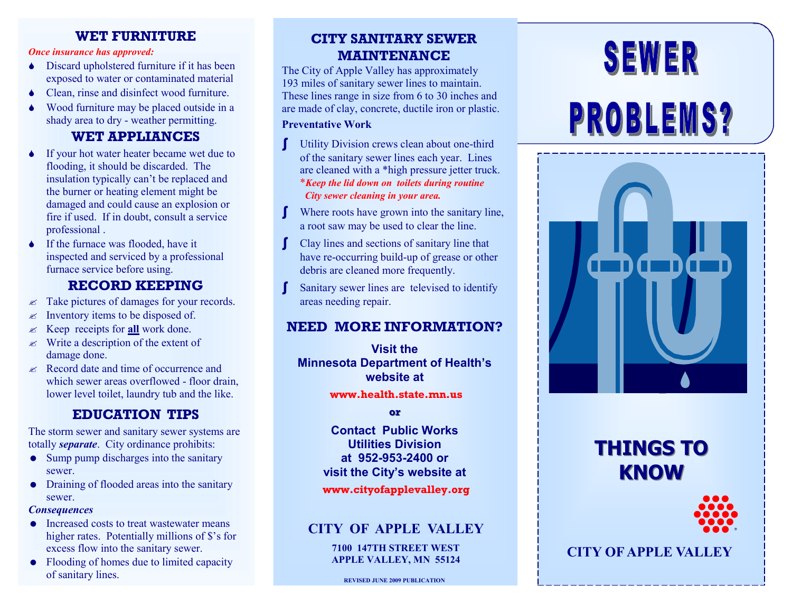### **WET FURNITURE**

#### *Once insurance has approved:*

- ◆ Discard upholstered furniture if it has been exposed to water or contaminated material
- ◆ Clean, rinse and disinfect wood furniture.
- Wood furniture may be placed outside in a shady area to dry - weather permitting.

### **WET APPLIANCES**

- If your hot water heater became wet due to flooding, it should be discarded. The insulation typically can't be replaced and the burner or heating element might be damaged and could cause an explosion or fire if used. If in doubt, consult a service professional .
- If the furnace was flooded, have it inspected and serviced by a professional furnace service before using.

### **RECORD KEEPING**

- $\approx$  Take pictures of damages for your records.
- $\mathscr{A}$  Inventory items to be disposed of.
- Keep receipts for **all** work done.
- $\mathscr{\mathscr{E}}$  Write a description of the extent of damage done.
- $\approx$  Record date and time of occurrence and which sewer areas overflowed - floor drain, lower level toilet, laundry tub and the like.

# **EDUCATION TIPS**

The storm sewer and sanitary sewer systems are totally *separate*. City ordinance prohibits:

- Sump pump discharges into the sanitary sewer.
- Draining of flooded areas into the sanitary sewer.

#### *Consequences*

- Increased costs to treat wastewater means higher rates. Potentially millions of \$'s for excess flow into the sanitary sewer.
- Flooding of homes due to limited capacity of sanitary lines.

# **CITY SANITARY SEWER MAINTENANCE**

The City of Apple Valley has approximately 193 miles of sanitary sewer lines to maintain. These lines range in size from 6 to 30 inches and are made of clay, concrete, ductile iron or plastic.

### **Preventative Work**

- ∫ Utility Division crews clean about one-third of the sanitary sewer lines each year. Lines are cleaned with a \*high pressure jetter truck. \**Keep the lid down on toilets during routine City sewer cleaning in your area.*
- Where roots have grown into the sanitary line, a root saw may be used to clear the line.
- ∫ Clay lines and sections of sanitary line that have re-occurring build-up of grease or other debris are cleaned more frequently.
- Sanitary sewer lines are televised to identify areas needing repair.

# **NEED MORE INFORMATION?**

**Visit the Minnesota Department of Health's website at www.health.state.mn.us**

**or**

**Contact Public Works Utilities Division at 952-953-2400 or visit the City's website at**

### **www.cityofapplevalley.org**

### **CITY OF APPLE VALLEY**

**7100 147TH STREET WEST APPLE VALLEY, MN 55124**

# SEWER

# **PROBLEMS?**



# **THINGS TO KNOW**



**CITY OF APPLE VALLEY**